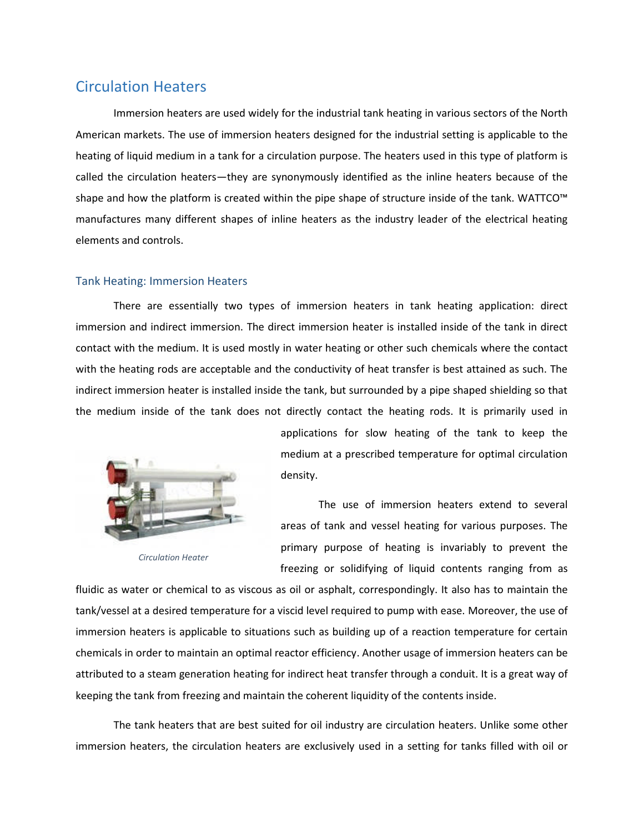## Circulation Heaters

Immersion heaters are used widely for the industrial tank heating in various sectors of the North American markets. The use of immersion heaters designed for the industrial setting is applicable to the heating of liquid medium in a tank for a circulation purpose. The heaters used in this type of platform is called the circulation heaters—they are synonymously identified as the inline heaters because of the shape and how the platform is created within the pipe shape of structure inside of the tank. WATTCO™ manufactures many different shapes of inline heaters as the industry leader of the electrical heating elements and controls.

## Tank Heating: Immersion Heaters

There are essentially two types of immersion heaters in tank heating application: direct immersion and indirect immersion. The direct immersion heater is installed inside of the tank in direct contact with the medium. It is used mostly in water heating or other such chemicals where the contact with the heating rods are acceptable and the conductivity of heat transfer is best attained as such. The indirect immersion heater is installed inside the tank, but surrounded by a pipe shaped shielding so that the medium inside of the tank does not directly contact the heating rods. It is primarily used in



*Circulation Heater*

applications for slow heating of the tank to keep the medium at a prescribed temperature for optimal circulation density.

The use of immersion heaters extend to several areas of tank and vessel heating for various purposes. The primary purpose of heating is invariably to prevent the freezing or solidifying of liquid contents ranging from as

fluidic as water or chemical to as viscous as oil or asphalt, correspondingly. It also has to maintain the tank/vessel at a desired temperature for a viscid level required to pump with ease. Moreover, the use of immersion heaters is applicable to situations such as building up of a reaction temperature for certain chemicals in order to maintain an optimal reactor efficiency. Another usage of immersion heaters can be attributed to a steam generation heating for indirect heat transfer through a conduit. It is a great way of keeping the tank from freezing and maintain the coherent liquidity of the contents inside.

The tank heaters that are best suited for oil industry are circulation heaters. Unlike some other immersion heaters, the circulation heaters are exclusively used in a setting for tanks filled with oil or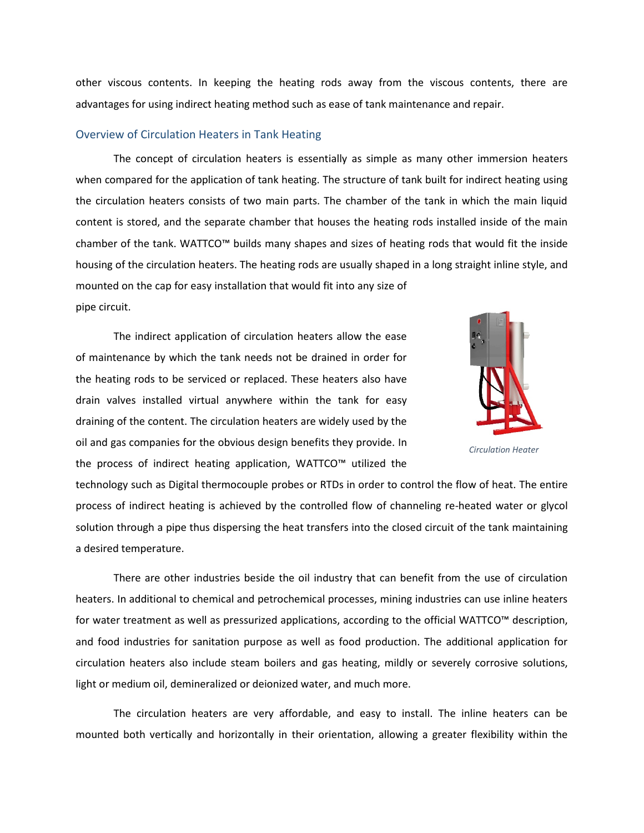other viscous contents. In keeping the heating rods away from the viscous contents, there are advantages for using indirect heating method such as ease of tank maintenance and repair.

## Overview of Circulation Heaters in Tank Heating

The concept of circulation heaters is essentially as simple as many other immersion heaters when compared for the application of tank heating. The structure of tank built for indirect heating using the circulation heaters consists of two main parts. The chamber of the tank in which the main liquid content is stored, and the separate chamber that houses the heating rods installed inside of the main chamber of the tank. WATTCO™ builds many shapes and sizes of heating rods that would fit the inside housing of the circulation heaters. The heating rods are usually shaped in a long straight inline style, and mounted on the cap for easy installation that would fit into any size of pipe circuit.

The indirect application of circulation heaters allow the ease of maintenance by which the tank needs not be drained in order for the heating rods to be serviced or replaced. These heaters also have drain valves installed virtual anywhere within the tank for easy draining of the content. The circulation heaters are widely used by the oil and gas companies for the obvious design benefits they provide. In the process of indirect heating application, WATTCO™ utilized the



*Circulation Heater*

technology such as Digital thermocouple probes or RTDs in order to control the flow of heat. The entire process of indirect heating is achieved by the controlled flow of channeling re-heated water or glycol solution through a pipe thus dispersing the heat transfers into the closed circuit of the tank maintaining a desired temperature.

There are other industries beside the oil industry that can benefit from the use of circulation heaters. In additional to chemical and petrochemical processes, mining industries can use inline heaters for water treatment as well as pressurized applications, according to the official WATTCO™ description, and food industries for sanitation purpose as well as food production. The additional application for circulation heaters also include steam boilers and gas heating, mildly or severely corrosive solutions, light or medium oil, demineralized or deionized water, and much more.

The circulation heaters are very affordable, and easy to install. The inline heaters can be mounted both vertically and horizontally in their orientation, allowing a greater flexibility within the